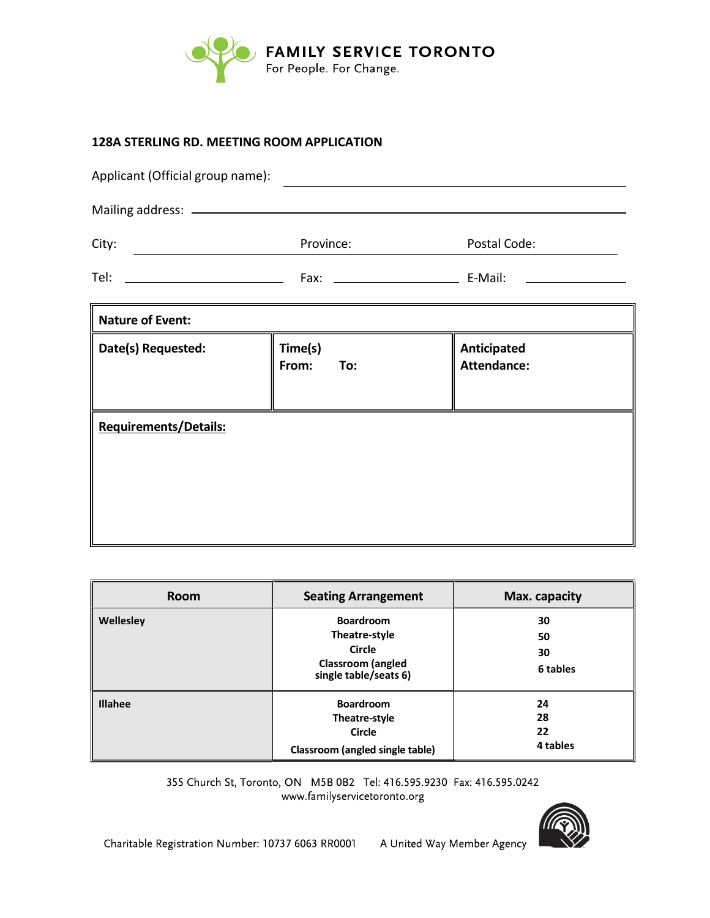

# **128A STERLING RD. M**EETING ROOM APPLICATION

| Applicant (Official group name):             |                         |                                   |  |  |
|----------------------------------------------|-------------------------|-----------------------------------|--|--|
|                                              |                         |                                   |  |  |
| City:<br><u> 1990 - Johann Barbara, mart</u> | Province:               | Postal Code:                      |  |  |
|                                              |                         |                                   |  |  |
| <b>Nature of Event:</b>                      |                         |                                   |  |  |
| Date(s) Requested:                           | Time(s)<br>From:<br>To: | Anticipated<br><b>Attendance:</b> |  |  |
| <b>Requirements/Details:</b>                 |                         |                                   |  |  |

| <b>Room</b>    | <b>Seating Arrangement</b>                                                                       | Max. capacity              |
|----------------|--------------------------------------------------------------------------------------------------|----------------------------|
| Wellesley      | <b>Boardroom</b><br>Theatre-style<br>Circle<br><b>Classroom</b> (angled<br>single table/seats 6) | 30<br>50<br>30<br>6 tables |
| <b>Illahee</b> | <b>Boardroom</b><br>Theatre-style<br><b>Circle</b><br>Classroom (angled single table)            | 24<br>28<br>22<br>4 tables |

355 Church St, Toronto, ON M5B 0B2 Tel: 416.595.9230 Fax: 416.595.0242 www.familyservicetoronto.org

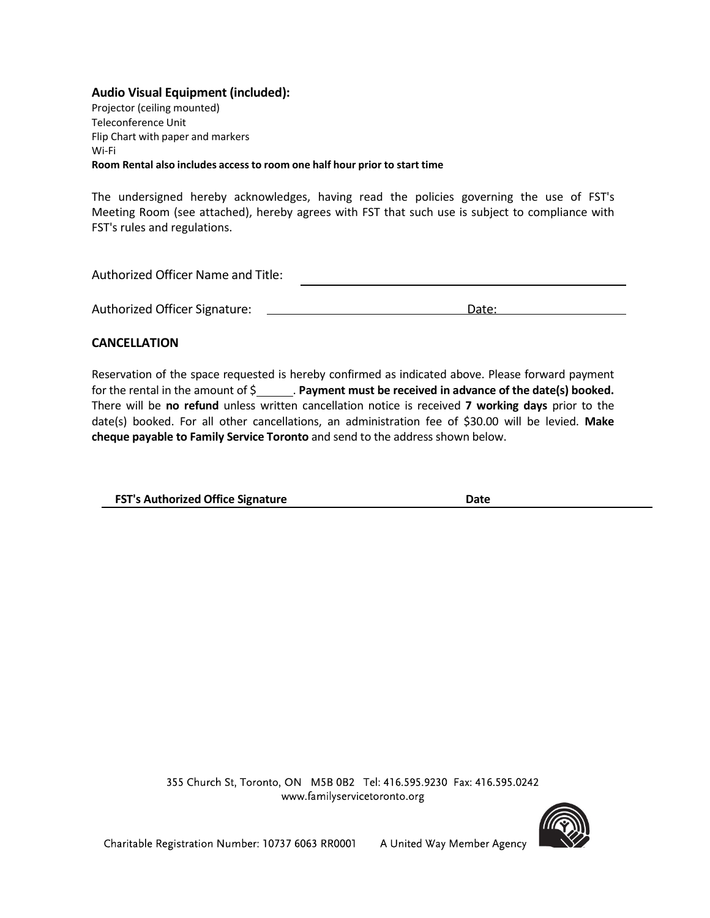# Audio Visual Equipment (included):

Projector (ceiling mounted) Teleconference Unit Flip Chart with paper and markers Wi-Fi Room Rental also includes access to room one half hour prior to start time

The undersigned hereby acknowledges, having read the policies governing the use of FST's Meeting Room (see attached), hereby agrees with FST that such use is subject to compliance with FST's rules and regulations.

| Authorized Officer Name and Title: |       |
|------------------------------------|-------|
|                                    |       |
| Authorized Officer Signature:      | Date: |

# CANCELLATION

Reservation of the space requested is hereby confirmed as indicated above. Please forward payment for the rental in the amount of  $\zeta$  . Payment must be received in advance of the date(s) booked. There will be no refund unless written cancellation notice is received 7 working days prior to the date(s) booked. For all other cancellations, an administration fee of \$30.00 will be levied. Make cheque payable to Family Service Toronto and send to the address shown below.

FST's Authorized Office Signature **Date** Date

355 Church St, Toronto, ON M5B 0B2 Tel: 416.595.9230 Fax: 416.595.0242 www.familyservicetoronto.org